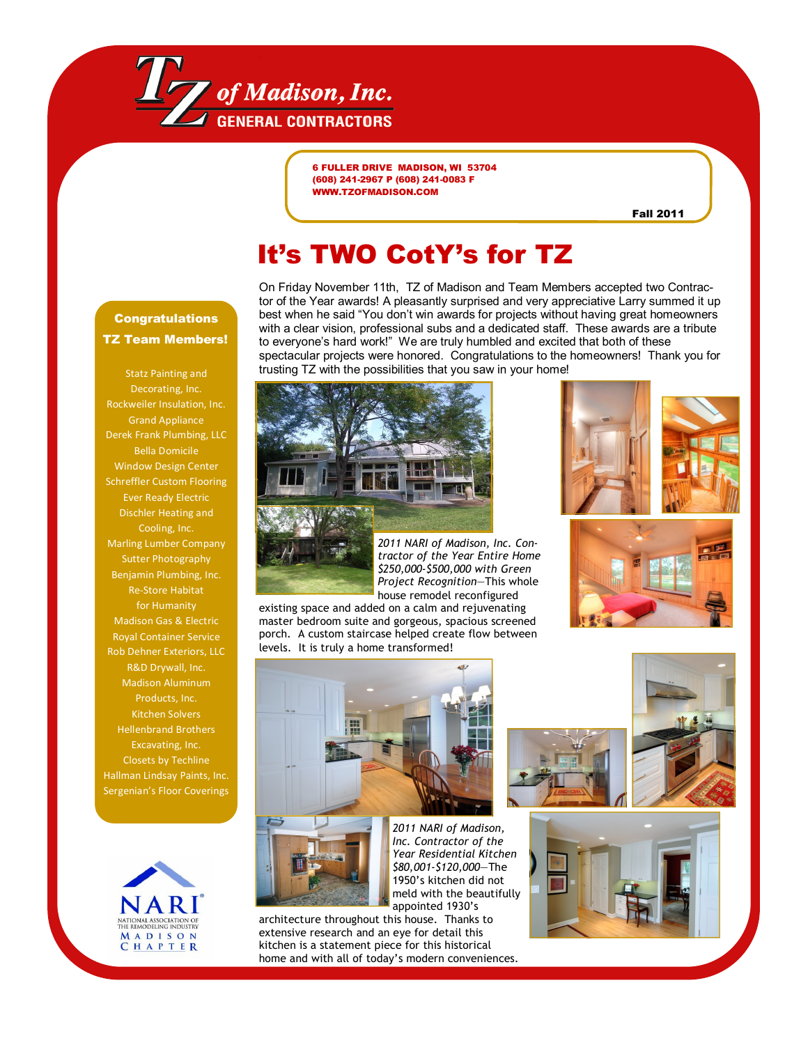

**6 FULLER DRIVE MADISON, WI 53704 (608) 241-2967 P (608) 241-0083 F WWW.TZOFMADISON.COM**

**Fall 2011**

## **It's TWO CotY's for TZ**

#### **Congratulations TZ Team Members!**

Statz Painting and Decorating, Inc. Rockweiler Insulation, Inc. Grand Appliance Derek Frank Plumbing, LLC Bella Domicile Window Design Center Schreffler Custom Flooring Ever Ready Electric Dischler Heating and Cooling, Inc. Marling Lumber Company Sutter Photography Benjamin Plumbing, Inc. Re-Store Habitat for Humanity Madison Gas & Electric Royal Container Service Rob Dehner Exteriors, LLC R&D Drywall, Inc. Madison Aluminum Products, Inc. Kitchen Solvers Hellenbrand Brothers Excavating, Inc. Closets by Techline Hallman Lindsay Paints, Inc. Sergenian's Floor Coverings



On Friday November 11th, TZ of Madison and Team Members accepted two Contractor of the Year awards! A pleasantly surprised and very appreciative Larry summed it up best when he said "You don't win awards for projects without having great homeowners with a clear vision, professional subs and a dedicated staff. These awards are a tribute to everyone's hard work!" We are truly humbled and excited that both of these spectacular projects were honored. Congratulations to the homeowners! Thank you for trusting TZ with the possibilities that you saw in your home!







*2011 NARI of Madison, Inc. Contractor of the Year Entire Home \$250,000-\$500,000 with Green Project Recognition*—This whole house remodel reconfigured

existing space and added on a calm and rejuvenating master bedroom suite and gorgeous, spacious screened porch. A custom staircase helped create flow between levels. It is truly a home transformed!







*2011 NARI of Madison, Inc. Contractor of the Year Residential Kitchen \$80,001-\$120,000*—The 1950's kitchen did not meld with the beautifully appointed 1930's

architecture throughout this house. Thanks to extensive research and an eye for detail this kitchen is a statement piece for this historical home and with all of today's modern conveniences.